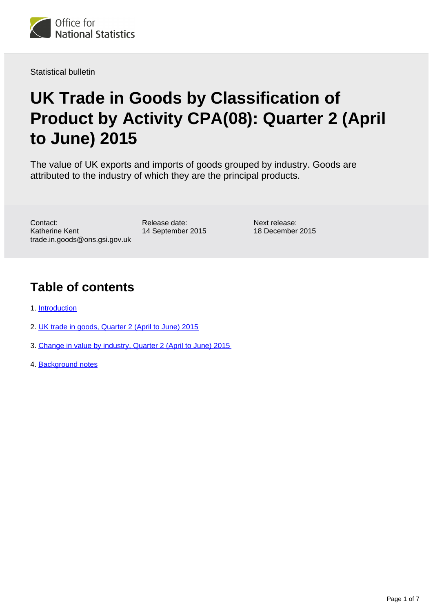

Statistical bulletin

# **UK Trade in Goods by Classification of Product by Activity CPA(08): Quarter 2 (April to June) 2015**

The value of UK exports and imports of goods grouped by industry. Goods are attributed to the industry of which they are the principal products.

Contact: Katherine Kent trade.in.goods@ons.gsi.gov.uk Release date: 14 September 2015 Next release: 18 December 2015

### **Table of contents**

- 1. [Introduction](#page-1-0)
- 2. [UK trade in goods, Quarter 2 \(April to June\) 2015](#page-1-1)
- 3. [Change in value by industry, Quarter 2 \(April to June\) 2015](#page-3-0)
- 4. [Background notes](#page-3-1)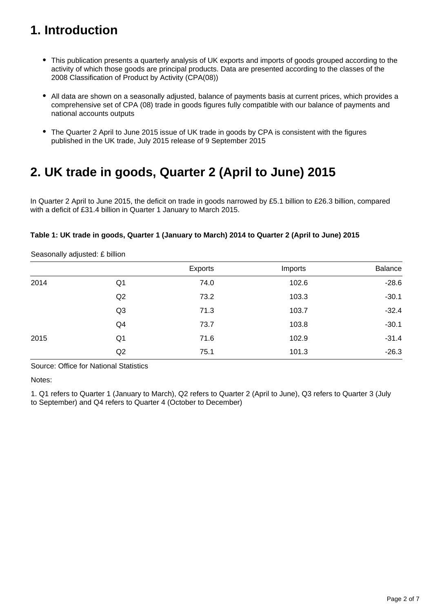## <span id="page-1-0"></span>**1. Introduction**

- This publication presents a quarterly analysis of UK exports and imports of goods grouped according to the activity of which those goods are principal products. Data are presented according to the classes of the 2008 Classification of Product by Activity (CPA(08))
- All data are shown on a seasonally adjusted, balance of payments basis at current prices, which provides a comprehensive set of CPA (08) trade in goods figures fully compatible with our balance of payments and national accounts outputs
- The Quarter 2 April to June 2015 issue of UK trade in goods by CPA is consistent with the figures published in the UK trade, July 2015 release of 9 September 2015

### <span id="page-1-1"></span>**2. UK trade in goods, Quarter 2 (April to June) 2015**

In Quarter 2 April to June 2015, the deficit on trade in goods narrowed by £5.1 billion to £26.3 billion, compared with a deficit of £31.4 billion in Quarter 1 January to March 2015.

#### **Table 1: UK trade in goods, Quarter 1 (January to March) 2014 to Quarter 2 (April to June) 2015**

|      |                | Exports | Imports | Balance |
|------|----------------|---------|---------|---------|
| 2014 | Q <sub>1</sub> | 74.0    | 102.6   | $-28.6$ |
|      | Q <sub>2</sub> | 73.2    | 103.3   | $-30.1$ |
|      | Q <sub>3</sub> | 71.3    | 103.7   | $-32.4$ |
|      | Q4             | 73.7    | 103.8   | $-30.1$ |
| 2015 | Q <sub>1</sub> | 71.6    | 102.9   | $-31.4$ |
|      | Q <sub>2</sub> | 75.1    | 101.3   | $-26.3$ |

Seasonally adjusted: £ billion

Source: Office for National Statistics

Notes:

1. Q1 refers to Quarter 1 (January to March), Q2 refers to Quarter 2 (April to June), Q3 refers to Quarter 3 (July to September) and Q4 refers to Quarter 4 (October to December)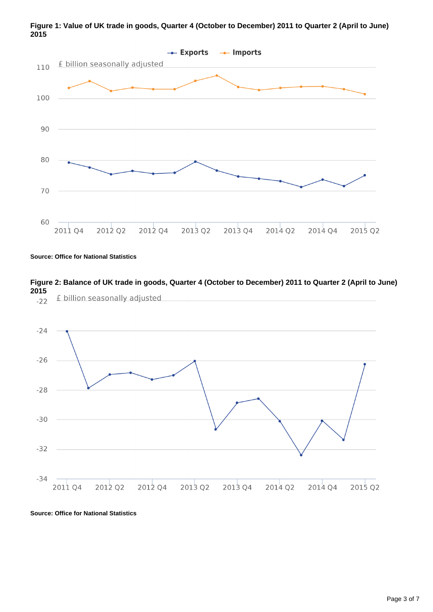

**Figure 1: Value of UK trade in goods, Quarter 4 (October to December) 2011 to Quarter 2 (April to June) 2015**

**Source: Office for National Statistics**

**Figure 2: Balance of UK trade in goods, Quarter 4 (October to December) 2011 to Quarter 2 (April to June) 2015** £ billion seasonally adjusted  $-22$ 



**Source: Office for National Statistics**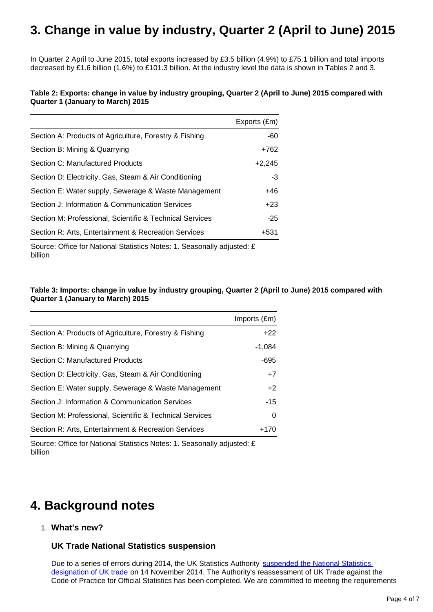### <span id="page-3-0"></span>**3. Change in value by industry, Quarter 2 (April to June) 2015**

In Quarter 2 April to June 2015, total exports increased by £3.5 billion (4.9%) to £75.1 billion and total imports decreased by £1.6 billion (1.6%) to £101.3 billion. At the industry level the data is shown in Tables 2 and 3.

#### **Table 2: Exports: change in value by industry grouping, Quarter 2 (April to June) 2015 compared with Quarter 1 (January to March) 2015**

|                                                          | Exports (£m) |
|----------------------------------------------------------|--------------|
| Section A: Products of Agriculture, Forestry & Fishing   | $-60$        |
| Section B: Mining & Quarrying                            | $+762$       |
| Section C: Manufactured Products                         | $+2,245$     |
| Section D: Electricity, Gas, Steam & Air Conditioning    | $-3$         |
| Section E: Water supply, Sewerage & Waste Management     | +46          |
| Section J: Information & Communication Services          | $+23$        |
| Section M: Professional, Scientific & Technical Services | $-25$        |
| Section R: Arts, Entertainment & Recreation Services     | $+531$       |

Source: Office for National Statistics Notes: 1. Seasonally adjusted: £ billion

#### **Table 3: Imports: change in value by industry grouping, Quarter 2 (April to June) 2015 compared with Quarter 1 (January to March) 2015**

|                                                          | Imports (£m) |
|----------------------------------------------------------|--------------|
| Section A: Products of Agriculture, Forestry & Fishing   | $+22$        |
| Section B: Mining & Quarrying                            | $-1,084$     |
| Section C: Manufactured Products                         | $-695$       |
| Section D: Electricity, Gas, Steam & Air Conditioning    | $+7$         |
| Section E: Water supply, Sewerage & Waste Management     | $+2$         |
| Section J: Information & Communication Services          | $-15$        |
| Section M: Professional, Scientific & Technical Services | 0            |
| Section R: Arts, Entertainment & Recreation Services     | +170         |

Source: Office for National Statistics Notes: 1. Seasonally adjusted: £ billion

### <span id="page-3-1"></span>**4. Background notes**

1. **What's new?**

#### **UK Trade National Statistics suspension**

Due to a series of errors during 2014, the UK Statistics Authority suspended the National Statistics [designation of UK trade](http://www.statisticsauthority.gov.uk/reports---correspondence/correspondence/letter-from-sir-andrew-dilnot-to-john-pullinger-141114.pdf) on 14 November 2014. The Authority's reassessment of UK Trade against the Code of Practice for Official Statistics has been completed. We are committed to meeting the requirements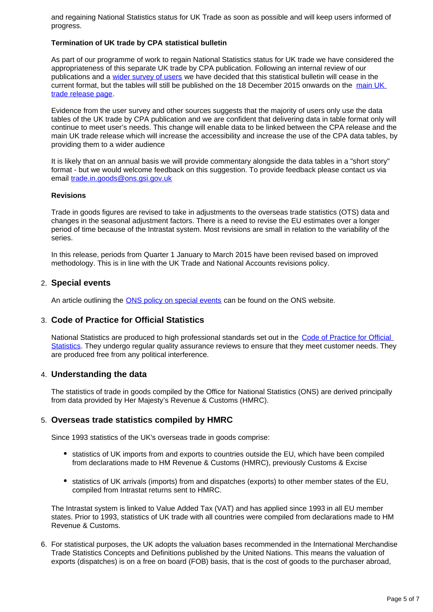and regaining National Statistics status for UK Trade as soon as possible and will keep users informed of progress.

#### **Termination of UK trade by CPA statistical bulletin**

As part of our programme of work to regain National Statistics status for UK trade we have considered the appropriateness of this separate UK trade by CPA publication. Following an internal review of our publications and a [wider survey of users](http://www.ons.gov.uk/ons/about-ons/get-involved/consultations-and-user-surveys/consultations/uk-trade-survey/feedback-from-consultations-on-ons-uk-trade-outputs.doc) we have decided that this statistical bulletin will cease in the current format, but the tables will still be published on the 18 December 2015 onwards on the [main UK](http://www.ons.gov.uk/ons/rel/uktrade/uk-trade/index.html)  [trade release page](http://www.ons.gov.uk/ons/rel/uktrade/uk-trade/index.html).

Evidence from the user survey and other sources suggests that the majority of users only use the data tables of the UK trade by CPA publication and we are confident that delivering data in table format only will continue to meet user's needs. This change will enable data to be linked between the CPA release and the main UK trade release which will increase the accessibility and increase the use of the CPA data tables, by providing them to a wider audience

It is likely that on an annual basis we will provide commentary alongside the data tables in a "short story" format - but we would welcome feedback on this suggestion. To provide feedback please contact us via email trade.in.goods@ons.gsi.gov.uk

#### **Revisions**

Trade in goods figures are revised to take in adjustments to the overseas trade statistics (OTS) data and changes in the seasonal adjustment factors. There is a need to revise the EU estimates over a longer period of time because of the Intrastat system. Most revisions are small in relation to the variability of the series.

In this release, periods from Quarter 1 January to March 2015 have been revised based on improved methodology. This is in line with the UK Trade and National Accounts revisions policy.

#### 2. **Special events**

An article outlining the **ONS** policy on special events can be found on the ONS website.

#### 3. **Code of Practice for Official Statistics**

National Statistics are produced to high professional standards set out in the Code of Practice for Official [Statistics](http://www.ons.gov.uk/ons/guide-method/the-national-statistics-standard/code-of-practice/index.html). They undergo regular quality assurance reviews to ensure that they meet customer needs. They are produced free from any political interference.

#### 4. **Understanding the data**

The statistics of trade in goods compiled by the Office for National Statistics (ONS) are derived principally from data provided by Her Majesty's Revenue & Customs (HMRC).

#### 5. **Overseas trade statistics compiled by HMRC**

Since 1993 statistics of the UK's overseas trade in goods comprise:

- statistics of UK imports from and exports to countries outside the EU, which have been compiled from declarations made to HM Revenue & Customs (HMRC), previously Customs & Excise
- statistics of UK arrivals (imports) from and dispatches (exports) to other member states of the EU, compiled from Intrastat returns sent to HMRC.

The Intrastat system is linked to Value Added Tax (VAT) and has applied since 1993 in all EU member states. Prior to 1993, statistics of UK trade with all countries were compiled from declarations made to HM Revenue & Customs.

6. For statistical purposes, the UK adopts the valuation bases recommended in the International Merchandise Trade Statistics Concepts and Definitions published by the United Nations. This means the valuation of exports (dispatches) is on a free on board (FOB) basis, that is the cost of goods to the purchaser abroad,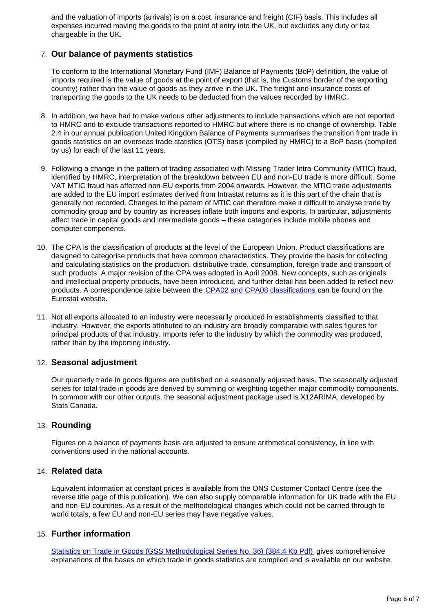and the valuation of imports (arrivals) is on a cost, insurance and freight (CIF) basis. This includes all expenses incurred moving the goods to the point of entry into the UK, but excludes any duty or tax chargeable in the UK.

#### 7. **Our balance of payments statistics**

To conform to the International Monetary Fund (IMF) Balance of Payments (BoP) definition, the value of imports required is the value of goods at the point of export (that is, the Customs border of the exporting country) rather than the value of goods as they arrive in the UK. The freight and insurance costs of transporting the goods to the UK needs to be deducted from the values recorded by HMRC.

- 8. In addition, we have had to make various other adjustments to include transactions which are not reported to HMRC and to exclude transactions reported to HMRC but where there is no change of ownership. Table 2.4 in our annual publication United Kingdom Balance of Payments summarises the transition from trade in goods statistics on an overseas trade statistics (OTS) basis (compiled by HMRC) to a BoP basis (compiled by us) for each of the last 11 years.
- 9. Following a change in the pattern of trading associated with Missing Trader Intra-Community (MTIC) fraud, identified by HMRC, interpretation of the breakdown between EU and non-EU trade is more difficult. Some VAT MTIC fraud has affected non-EU exports from 2004 onwards. However, the MTIC trade adjustments are added to the EU import estimates derived from Intrastat returns as it is this part of the chain that is generally not recorded. Changes to the pattern of MTIC can therefore make it difficult to analyse trade by commodity group and by country as increases inflate both imports and exports. In particular, adjustments affect trade in capital goods and intermediate goods – these categories include mobile phones and computer components.
- 10. The CPA is the classification of products at the level of the European Union. Product classifications are designed to categorise products that have common characteristics. They provide the basis for collecting and calculating statistics on the production, distributive trade, consumption, foreign trade and transport of such products. A major revision of the CPA was adopted in April 2008. New concepts, such as originals and intellectual property products, have been introduced, and further detail has been added to reflect new products. A correspondence table between the [CPA02 and CPA08 classifications](http://ec.europa.eu/eurostat/ramon/relations/index.cfm?TargetUrl=LST_REL&StrLanguageCode=EN&IntCurrentPage=3) can be found on the Eurostat website.
- 11. Not all exports allocated to an industry were necessarily produced in establishments classified to that industry. However, the exports attributed to an industry are broadly comparable with sales figures for principal products of that industry. Imports refer to the industry by which the commodity was produced, rather than by the importing industry.

#### 12. **Seasonal adjustment**

Our quarterly trade in goods figures are published on a seasonally adjusted basis. The seasonally adjusted series for total trade in goods are derived by summing or weighting together major commodity components. In common with our other outputs, the seasonal adjustment package used is X12ARIMA, developed by Stats Canada.

#### 13. **Rounding**

Figures on a balance of payments basis are adjusted to ensure arithmetical consistency, in line with conventions used in the national accounts.

#### 14. **Related data**

Equivalent information at constant prices is available from the ONS Customer Contact Centre (see the reverse title page of this publication). We can also supply comparable information for UK trade with the EU and non-EU countries. As a result of the methodological changes which could not be carried through to world totals, a few EU and non-EU series may have negative values.

#### 15. **Further information**

[Statistics on Trade in Goods \(GSS Methodological Series No. 36\) \(384.4 Kb Pdf\)](http://www.ons.gov.uk/ons/guide-method/method-quality/specific/gss-methodology-series/gss-methodology-series--36--statistics-on-trade-in-goods.pdf) gives comprehensive explanations of the bases on which trade in goods statistics are compiled and is available on our website.